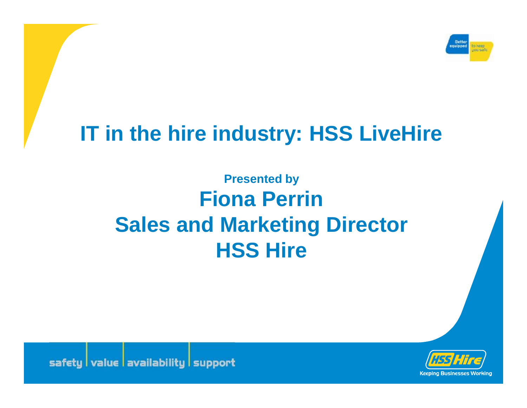

# **IT in the hire industry: HSS LiveHire**

**Presented by Fiona Perrin Sales and Marketing Director HSS Hire**



safety value availability support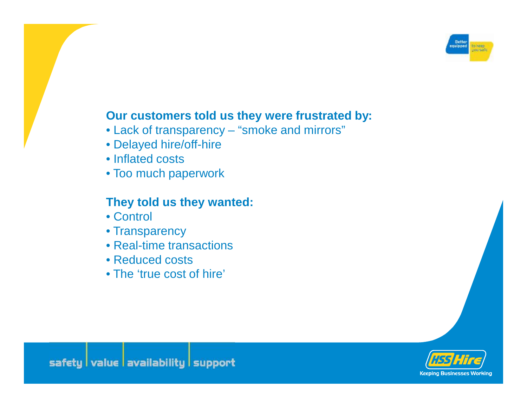

#### **Our customers told us they were frustrated by:**

- Lack of transparency "smoke and mirrors"
- Delayed hire/off-hire
- Inflated costs
- Too much paperwork

## **They told us they wanted:**

- Control
- Transparency
- Real-time transactions
- Reduced costs
- The 'true cost of hire'

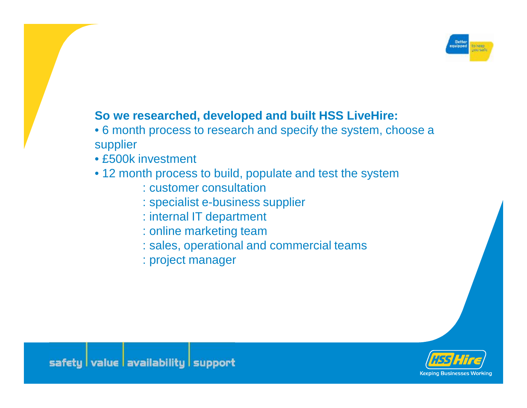

#### **So we researched, developed and built HSS LiveHire:**

- 6 month process to research and specify the system, choose a supplier
- £500k investment
- 12 month process to build, populate and test the system
	- : customer consultation
	- : specialist e-business supplier
	- : internal IT department
	- : online marketing team
	- : sales, operational and commercial teams
	- : project manager

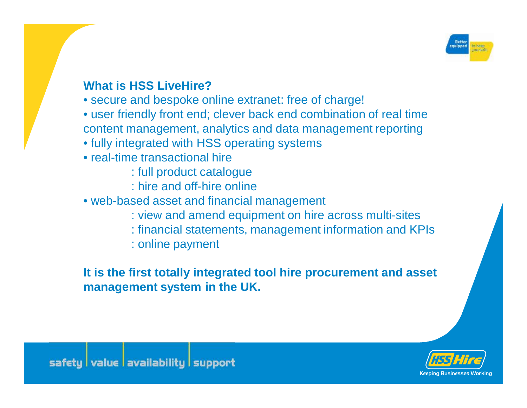

# **What is HSS LiveHire?**

- secure and bespoke online extranet: free of charge!
- user friendly front end; clever back end combination of real time content management, analytics and data management reporting
- fully integrated with HSS operating systems
- real-time transactional hire
	- : full product catalogue
	- : hire and off-hire online
- web-based asset and financial management
	- : view and amend equipment on hire across multi-sites
	- : financial statements, management information and KPIs
	- : online payment

# **It is the first totally integrated tool hire procurement and asset management system in the UK.**

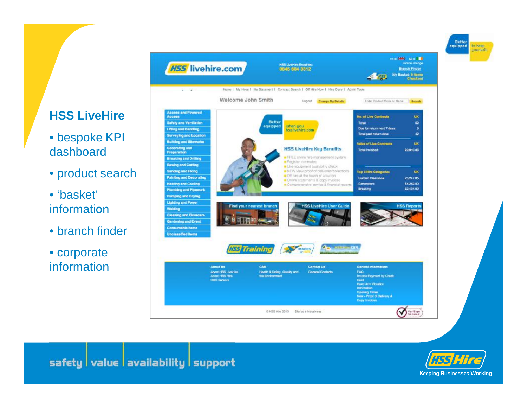# **HSS LiveHire**

- bespoke KPI dashboard
- product search

• 'basket' information

• branch finder

• corporate information





**Better** 

to keep you safe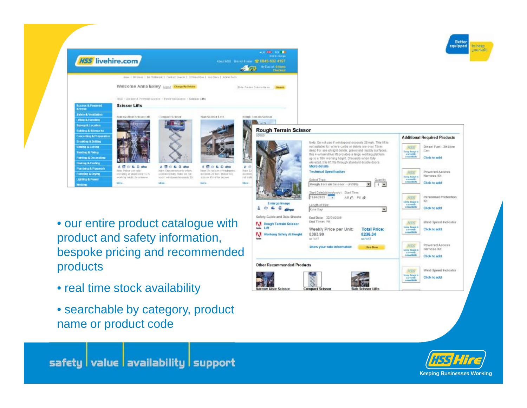

- our entire product catalogue with product and safety information, bespoke pricing and recommended products
- real time stock availability
- searchable by category, product name or product code





safety value availability support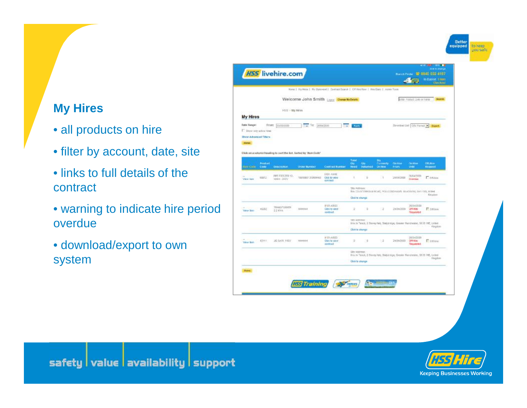#### Better<br>equipped to keep you safe

# **My Hires**

- all products on hire
- filter by account, date, site
- links to full details of the contract
- warning to indicate hire period overdue
- download/export to own system





safety value availability support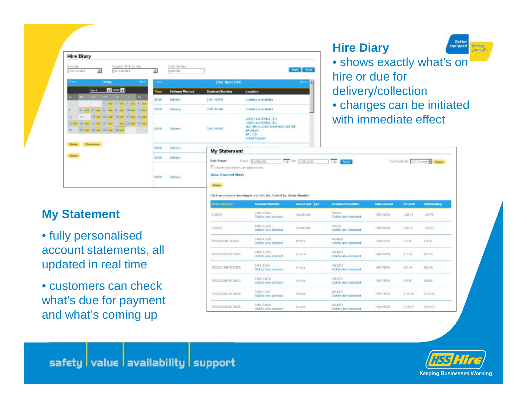| <b>Hire Diary</b>                                                                                                   |                                                       |                                             |                                                                                                                           | <b>Better</b><br><b>Hire Diary</b><br>equipped<br>to <b>HEED</b><br>you safe |  |  |  |
|---------------------------------------------------------------------------------------------------------------------|-------------------------------------------------------|---------------------------------------------|---------------------------------------------------------------------------------------------------------------------------|------------------------------------------------------------------------------|--|--|--|
| Delivery / Rol-Up Site<br>Account:<br><b>Bill Salazin f.</b><br>All Saladad                                         | Circler Number<br>Enter Na.<br>$\left  \cdot \right $ |                                             | Apply Reset                                                                                                               | • shows exactly what's on<br>hire or due for                                 |  |  |  |
| today<br><b>THEM</b>                                                                                                | <b>PROV</b>                                           | 23rd April 2005                             | Е<br><b>Ned</b>                                                                                                           |                                                                              |  |  |  |
| April 12 2009 12                                                                                                    | <b>Delivery Method</b><br>Time                        | <b>Contract Number</b>                      | Lesation                                                                                                                  | delivery/collection                                                          |  |  |  |
| The Way The Fig. 24.<br>1. MH 2. MH 3. MH 46. MH                                                                    | 00:00<br>Delivery                                     | 0101-AF544                                  | Address unavailable                                                                                                       |                                                                              |  |  |  |
| 7 mg 5 mg 8 mg 10 mg 11 mg                                                                                          | 00:00<br>Delivery.                                    | ON UN-AP DIRE                               | Address univaliable                                                                                                       | • changes can be initiated                                                   |  |  |  |
| 14 as 15 ass 15 as 17 as 19 as<br>42<br>VII and VI and VI and in the 20 and 1970 and<br>17 and 28 may 29 may 35 may | <b>Гланту</b><br>00.00                                | 0101-AF167                                  | ABBEY NATIONAL PLC.<br>ADDEY NATIONAL PLC<br>260 THE GLADES SHOPPING CENTRE<br>BROMLEY<br>BRI 10N<br><b>Unted Kingdom</b> | with immediate effect                                                        |  |  |  |
| Today Tornamow<br>Home:                                                                                             | 00:00<br>Delivery.                                    |                                             | <b>My Statement</b>                                                                                                       |                                                                              |  |  |  |
|                                                                                                                     | Delivery<br>00:00                                     | Date Ranger                                 | FORM TEACOOR<br>TK 23042000<br><b>HOST Avery</b><br>Download Litt: CSV Farmal N. Expart.                                  |                                                                              |  |  |  |
|                                                                                                                     | $00-00$<br><b>Delivery</b>                            | <b>Show Advanced Filters</b><br><b>Hame</b> | E Dirigity documents with balance only                                                                                    |                                                                              |  |  |  |

#### **My Statement**

• fully personalised account statements, all updated in real time

• customers can check what's due for payment and what's coming up

| <b>Hame</b>                                                        |                                          |                       |                                                  |                                     |               |                    |  |  |  |
|--------------------------------------------------------------------|------------------------------------------|-----------------------|--------------------------------------------------|-------------------------------------|---------------|--------------------|--|--|--|
| lick on a column heading to nort the lint. Sorted by Drder Member' |                                          |                       |                                                  |                                     |               |                    |  |  |  |
| <b>Girden Marritism</b>                                            | <b>Contract Number</b>                   | <b>Document Type</b>  | <b>Bocument Humber</b>                           | <b>Dida Insured</b>                 | <b>Amount</b> | <b>Cutatanding</b> |  |  |  |
| 5129401                                                            | UT01-A+694U<br>Click to view contract.   | Credit Nobe           | Assession<br>Click to view obcurrent             | 1004/2009                           | $-0.2835$     | $-238.75$          |  |  |  |
| 5129401                                                            | 0101-AH340<br>Click to youw contract     | Cordit Note           | 190537<br>Click to view document                 | 1964/2009                           | $-0.20.75$    | $-236.75$          |  |  |  |
| 595/598204/3143520                                                 | 0301+AH060<br>Click to year contract     | twoce                 | 4884583<br>Click to view document                | 19/04/2009                          | 176.45        | 176.45             |  |  |  |
| ABSON SACRO PRINTERIOS                                             | EPPLANETS!<br>Click to wew contract.     | vnr.<br><b>FIVOER</b> | <b>URNANEL</b><br>Click to view clocument        | 2024 31 11 11<br><b>TIACA GOULS</b> | 453.29        | 433.29             |  |  |  |
| 703/2021999/0127908                                                | 0101-Z4044<br>Clob to wew contract       | Invoice               | 1854374<br>Click to view docustant               | 1904/2008                           | K80.89        | 603.48             |  |  |  |
| 70300323576128822                                                  | 0101-23876<br>Click to year contract     | <b>Invokar</b>        | 4884375<br>Click to view appurent.               | 1904/2009                           | 150.50        | 193.60             |  |  |  |
| <b>PERITY REPORT PROP</b><br><b>JULIOUS 2003145 PLUMBER</b>        | 0101-79467<br>Click to you w contract    | <b>Pryddia</b>        | 4954393<br>Click to view document                | <b>EDITORY</b><br>12040008          | 25,26,28      | 4725.36            |  |  |  |
| 703/203238249129936                                                | 0101-23608<br>IT RAD ALL LEWIS CONTRACTS | <b>Tryology</b>       | 4854372<br>Plants for infancial effort contained | 1964/2000                           | £*39.15       | 0193.15            |  |  |  |

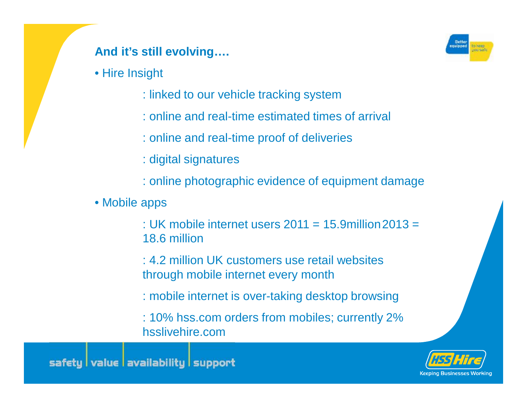# **And it's still evolving….**

• Hire Insight

- : linked to our vehicle tracking system
- : online and real-time estimated times of arrival
- : online and real-time proof of deliveries
- : digital signatures
- : online photographic evidence of equipment damage
- Mobile apps
	- : UK mobile internet users  $2011 = 15.9$ million  $2013 =$ 18.6 million
	- : 4.2 million UK customers use retail websites through mobile internet every month
	- : mobile internet is over-taking desktop browsing
	- : 10% hss.com orders from mobiles; currently 2% hsslivehire.com



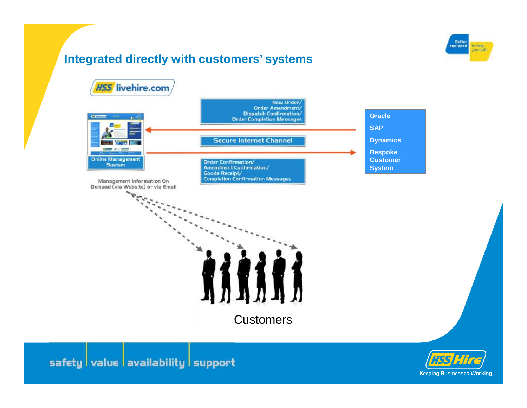# **Integrated directly with customers' systems**





**Keeping Businesses Working**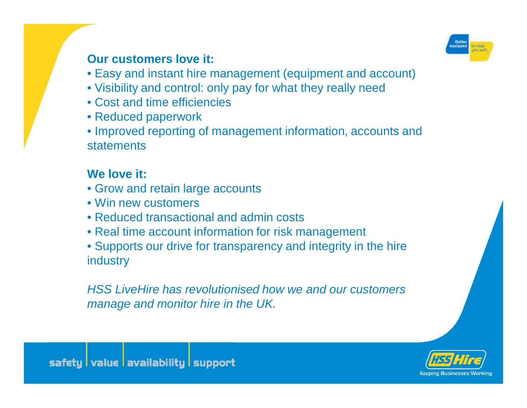

## **Our customers love it:**

- Easy and instant hire management (equipment and account)
- Visibility and control: only pay for what they really need
- Cost and time efficiencies
- Reduced paperwork

• Improved reporting of management information, accounts and statements

# **We love it:**

- Grow and retain large accounts
- Win new customers
- Reduced transactional and admin costs
- Real time account information for risk management
- Supports our drive for transparency and integrity in the hire industry

*HSS LiveHire has revolutionised how we and our customers manage and monitor hire in the UK.*